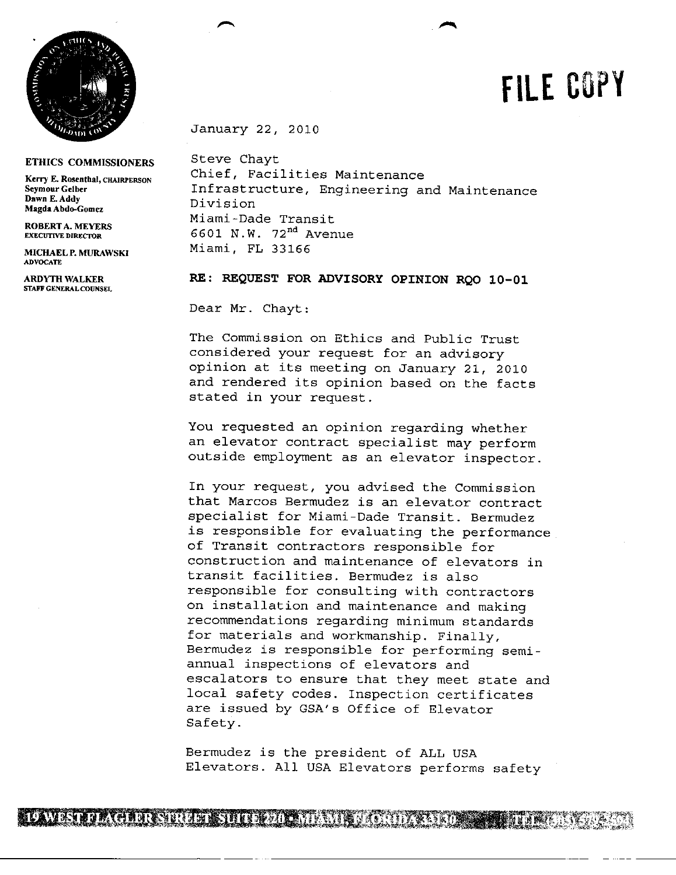

## **ETHICS COMMISSIONERS**

**Dawn E.Addy** Div sion **Magila Abdo-Gomez**

ADVOCATE

**STAFF GENERAL COUNSEL**

January 22, 2010

p

Steve Chayt Kerry E. Rosenthal, CHAIRPERSON Chief, Facilities Maintenance<br>Seymour Gelber **Films Infrastructure, Engineering** a SeymourGelber **Infrastructure, Engineering and Maintenance**<br>Dawn E.Addy **Infrastructure**, Engineering and Maintenance Miami-Dade Transit **ROBERTA. MEYERS** 6601 N.W. 72<sup>nd</sup> Avenue MICHAELP. MURAWSKI Miami, FL 33166

**FILE CUY**

**ARDYH WALKER** RE: REQUEST FOR ADVISORY OPINION RQO 10-01

Dear Mr. Chayt:

The Commission on Ethics and Public Trust considered your request for an advisory opinion at its meeting on January 21, 2010 and rendered its opinion based on the facts stated in your request.

You requested an opinion regarding whether an elevator contract specialist may perform outside employment as an elevator inspector.

In your request, you advised the Commission that Marcos Bermudez is an elevator contract specialist for Miami-Dade Transit. Bermudez is responsible for evaluating the performance of Transit contractors responsible for construction and maintenance of elevators in transit facilities. Bermudez is also responsible for consulting with contractors on installation and maintenance and making recommendations regarding minimum standards for materials and workmanship. Finally, Bermudez is responsible for performing semi annual inspections of elevators and escalators to ensure that they meet state and local safety codes. Inspection certificates are issued by GSA's Office of Elevator Safety.

Bermudez is the president of ALL USA Elevators. All USA Elevators performs safety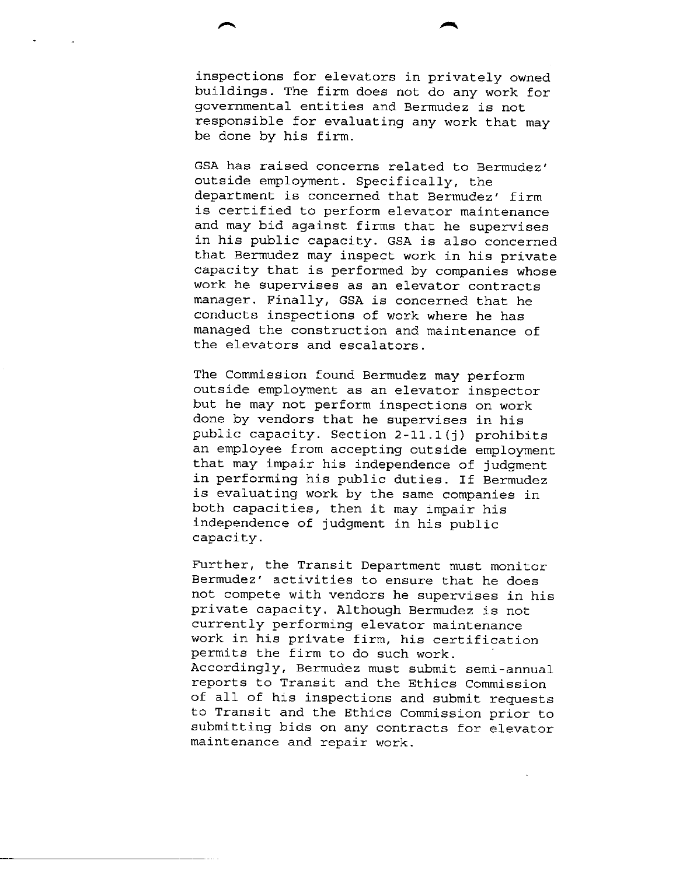inspections for elevators in privately owned buildings. The firm does not do any work for governmental entities and Bermudez is not responsible for evaluating any work that may be done by his firm.

fr

GSA has raised concerns related to Bermudez' outside employment. Specifically, the department is concerned that Bermudez' firm is certified to perform elevator maintenance and may bid against firms that he supervises in his public capacity. GSA is also concerned that Bermudez may inspect work in his private capacity that is performed by companies whose work he supervises as an elevator contracts manager. Finally, GSA is concerned that he conducts inspections of work where he has managed the construction and maintenance of the elevators and escalators.

The Commission found Bermudez may perform outside employment as an elevator inspector but he may not perform inspections on work done by vendors that he supervises in his public capacity. Section  $2-11.1(j)$  prohibits an employee from accepting outside employment that may impair his independence of judgment in performing his public duties. If Bermudez is evaluating work by the same companies in both capacities, then it may impair his independence of judgment in his public capacity.

Further, the Transit Department must monitor Bermudez' activities to ensure that he does not compete with vendors he supervises in his private capacity. Although Bermudez is not currently performing elevator maintenance work in his private firm, his certification permits the firm to do such work. Accordingly, Bermudez must submit semi-annual reports to Transit and the Ethics Commission of all of his inspections and submit requests to Transit and the Ethics Commission prior to submitting bids on any contracts for elevator maintenance and repair work.